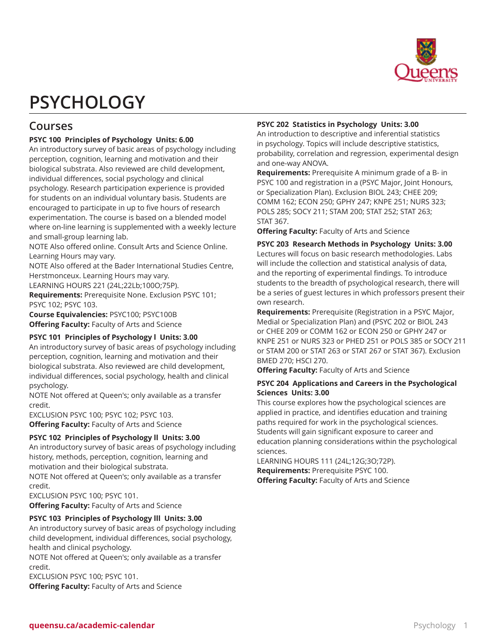

# **PSYCHOLOGY**

# **Courses**

# **PSYC 100 Principles of Psychology Units: 6.00**

An introductory survey of basic areas of psychology including perception, cognition, learning and motivation and their biological substrata. Also reviewed are child development, individual differences, social psychology and clinical psychology. Research participation experience is provided for students on an individual voluntary basis. Students are encouraged to participate in up to five hours of research experimentation. The course is based on a blended model where on-line learning is supplemented with a weekly lecture and small-group learning lab.

NOTE Also offered online. Consult Arts and Science Online. Learning Hours may vary.

NOTE Also offered at the Bader International Studies Centre, Herstmonceux. Learning Hours may vary.

LEARNING HOURS 221 (24L;22Lb;100O;75P).

**Requirements:** Prerequisite None. Exclusion PSYC 101; PSYC 102; PSYC 103.

**Course Equivalencies:** PSYC100; PSYC100B **Offering Faculty:** Faculty of Arts and Science

#### **PSYC 101 Principles of Psychology l Units: 3.00**

An introductory survey of basic areas of psychology including perception, cognition, learning and motivation and their biological substrata. Also reviewed are child development, individual differences, social psychology, health and clinical psychology.

NOTE Not offered at Queen's; only available as a transfer credit.

EXCLUSION PSYC 100; PSYC 102; PSYC 103. **Offering Faculty:** Faculty of Arts and Science

#### **PSYC 102 Principles of Psychology ll Units: 3.00**

An introductory survey of basic areas of psychology including history, methods, perception, cognition, learning and motivation and their biological substrata.

NOTE Not offered at Queen's; only available as a transfer credit.

EXCLUSION PSYC 100; PSYC 101.

**Offering Faculty:** Faculty of Arts and Science

#### **PSYC 103 Principles of Psychology lll Units: 3.00**

An introductory survey of basic areas of psychology including child development, individual differences, social psychology, health and clinical psychology.

NOTE Not offered at Queen's; only available as a transfer credit.

EXCLUSION PSYC 100; PSYC 101.

**Offering Faculty:** Faculty of Arts and Science

# **PSYC 202 Statistics in Psychology Units: 3.00**

An introduction to descriptive and inferential statistics in psychology. Topics will include descriptive statistics, probability, correlation and regression, experimental design and one-way ANOVA.

**Requirements:** Prerequisite A minimum grade of a B- in PSYC 100 and registration in a (PSYC Major, Joint Honours, or Specialization Plan). Exclusion BIOL 243; CHEE 209; COMM 162; ECON 250; GPHY 247; KNPE 251; NURS 323; POLS 285; SOCY 211; STAM 200; STAT 252; STAT 263; STAT 367.

**Offering Faculty:** Faculty of Arts and Science

#### **PSYC 203 Research Methods in Psychology Units: 3.00**

Lectures will focus on basic research methodologies. Labs will include the collection and statistical analysis of data, and the reporting of experimental findings. To introduce students to the breadth of psychological research, there will be a series of guest lectures in which professors present their own research.

**Requirements:** Prerequisite (Registration in a PSYC Major, Medial or Specialization Plan) and (PSYC 202 or BIOL 243 or CHEE 209 or COMM 162 or ECON 250 or GPHY 247 or KNPE 251 or NURS 323 or PHED 251 or POLS 385 or SOCY 211 or STAM 200 or STAT 263 or STAT 267 or STAT 367). Exclusion BMED 270; HSCI 270.

**Offering Faculty:** Faculty of Arts and Science

#### **PSYC 204 Applications and Careers in the Psychological Sciences Units: 3.00**

This course explores how the psychological sciences are applied in practice, and identifies education and training paths required for work in the psychological sciences. Students will gain significant exposure to career and education planning considerations within the psychological sciences.

LEARNING HOURS 111 (24L;12G;3O;72P). **Requirements:** Prerequisite PSYC 100. **Offering Faculty:** Faculty of Arts and Science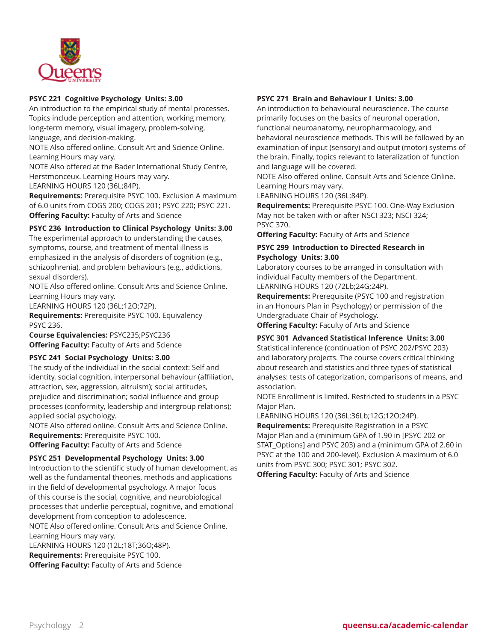

# **PSYC 221 Cognitive Psychology Units: 3.00**

An introduction to the empirical study of mental processes. Topics include perception and attention, working memory, long-term memory, visual imagery, problem-solving, language, and decision-making.

NOTE Also offered online. Consult Art and Science Online. Learning Hours may vary.

NOTE Also offered at the Bader International Study Centre, Herstmonceux. Learning Hours may vary.

LEARNING HOURS 120 (36L;84P).

**Requirements:** Prerequisite PSYC 100. Exclusion A maximum of 6.0 units from COGS 200; COGS 201; PSYC 220; PSYC 221. **Offering Faculty:** Faculty of Arts and Science

# **PSYC 236 Introduction to Clinical Psychology Units: 3.00**

The experimental approach to understanding the causes, symptoms, course, and treatment of mental illness is emphasized in the analysis of disorders of cognition (e.g., schizophrenia), and problem behaviours (e.g., addictions, sexual disorders).

NOTE Also offered online. Consult Arts and Science Online. Learning Hours may vary.

LEARNING HOURS 120 (36L;12O;72P).

**Requirements:** Prerequisite PSYC 100. Equivalency PSYC 236.

**Course Equivalencies:** PSYC235;PSYC236 **Offering Faculty:** Faculty of Arts and Science

#### **PSYC 241 Social Psychology Units: 3.00**

The study of the individual in the social context: Self and identity, social cognition, interpersonal behaviour (affiliation, attraction, sex, aggression, altruism); social attitudes, prejudice and discrimination; social influence and group processes (conformity, leadership and intergroup relations); applied social psychology.

NOTE Also offered online. Consult Arts and Science Online. **Requirements:** Prerequisite PSYC 100.

**Offering Faculty:** Faculty of Arts and Science

#### **PSYC 251 Developmental Psychology Units: 3.00**

Introduction to the scientific study of human development, as well as the fundamental theories, methods and applications in the field of developmental psychology. A major focus of this course is the social, cognitive, and neurobiological processes that underlie perceptual, cognitive, and emotional development from conception to adolescence.

NOTE Also offered online. Consult Arts and Science Online. Learning Hours may vary.

LEARNING HOURS 120 (12L;18T;36O;48P). **Requirements:** Prerequisite PSYC 100. **Offering Faculty:** Faculty of Arts and Science

#### **PSYC 271 Brain and Behaviour I Units: 3.00**

An introduction to behavioural neuroscience. The course primarily focuses on the basics of neuronal operation, functional neuroanatomy, neuropharmacology, and behavioral neuroscience methods. This will be followed by an examination of input (sensory) and output (motor) systems of the brain. Finally, topics relevant to lateralization of function and language will be covered.

NOTE Also offered online. Consult Arts and Science Online. Learning Hours may vary.

LEARNING HOURS 120 (36L;84P).

**Requirements:** Prerequisite PSYC 100. One-Way Exclusion May not be taken with or after NSCI 323; NSCI 324; PSYC 370.

**Offering Faculty:** Faculty of Arts and Science

# **PSYC 299 Introduction to Directed Research in Psychology Units: 3.00**

Laboratory courses to be arranged in consultation with individual Faculty members of the Department. LEARNING HOURS 120 (72Lb;24G;24P).

**Requirements:** Prerequisite (PSYC 100 and registration in an Honours Plan in Psychology) or permission of the Undergraduate Chair of Psychology.

**Offering Faculty:** Faculty of Arts and Science

# **PSYC 301 Advanced Statistical Inference Units: 3.00**

Statistical inference (continuation of PSYC 202/PSYC 203) and laboratory projects. The course covers critical thinking about research and statistics and three types of statistical analyses: tests of categorization, comparisons of means, and association.

NOTE Enrollment is limited. Restricted to students in a PSYC Major Plan.

LEARNING HOURS 120 (36L;36Lb;12G;12O;24P). **Requirements:** Prerequisite Registration in a PSYC Major Plan and a (minimum GPA of 1.90 in [PSYC 202 or STAT\_Options] and PSYC 203) and a (minimum GPA of 2.60 in PSYC at the 100 and 200-level). Exclusion A maximum of 6.0 units from PSYC 300; PSYC 301; PSYC 302.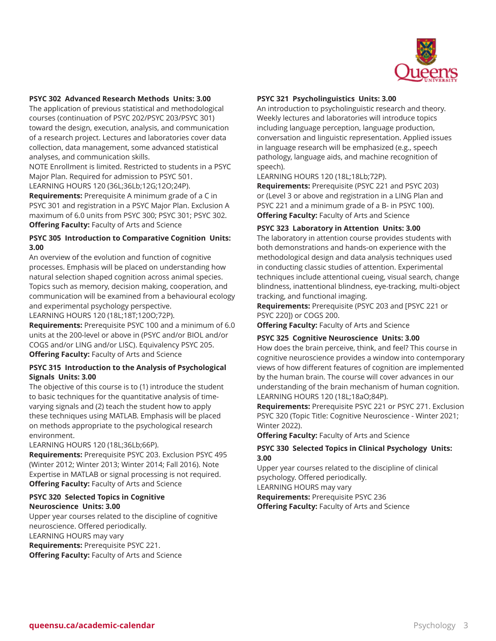

#### **PSYC 302 Advanced Research Methods Units: 3.00**

The application of previous statistical and methodological courses (continuation of PSYC 202/PSYC 203/PSYC 301) toward the design, execution, analysis, and communication of a research project. Lectures and laboratories cover data collection, data management, some advanced statistical analyses, and communication skills.

NOTE Enrollment is limited. Restricted to students in a PSYC Major Plan. Required for admission to PSYC 501.

LEARNING HOURS 120 (36L;36Lb;12G;12O;24P).

**Requirements:** Prerequisite A minimum grade of a C in PSYC 301 and registration in a PSYC Major Plan. Exclusion A maximum of 6.0 units from PSYC 300; PSYC 301; PSYC 302. **Offering Faculty:** Faculty of Arts and Science

#### **PSYC 305 Introduction to Comparative Cognition Units: 3.00**

An overview of the evolution and function of cognitive processes. Emphasis will be placed on understanding how natural selection shaped cognition across animal species. Topics such as memory, decision making, cooperation, and communication will be examined from a behavioural ecology and experimental psychology perspective.

LEARNING HOURS 120 (18L;18T;120O;72P).

**Requirements:** Prerequisite PSYC 100 and a minimum of 6.0 units at the 200-level or above in (PSYC and/or BIOL and/or COGS and/or LING and/or LISC). Equivalency PSYC 205. **Offering Faculty:** Faculty of Arts and Science

#### **PSYC 315 Introduction to the Analysis of Psychological Signals Units: 3.00**

The objective of this course is to (1) introduce the student to basic techniques for the quantitative analysis of timevarying signals and (2) teach the student how to apply these techniques using MATLAB. Emphasis will be placed on methods appropriate to the psychological research environment.

LEARNING HOURS 120 (18L;36Lb;66P).

**Requirements:** Prerequisite PSYC 203. Exclusion PSYC 495 (Winter 2012; Winter 2013; Winter 2014; Fall 2016). Note Expertise in MATLAB or signal processing is not required. **Offering Faculty:** Faculty of Arts and Science

#### **PSYC 320 Selected Topics in Cognitive Neuroscience Units: 3.00**

Upper year courses related to the discipline of cognitive neuroscience. Offered periodically. LEARNING HOURS may vary **Requirements:** Prerequisite PSYC 221. **Offering Faculty:** Faculty of Arts and Science

# **PSYC 321 Psycholinguistics Units: 3.00**

An introduction to psycholinguistic research and theory. Weekly lectures and laboratories will introduce topics including language perception, language production, conversation and linguistic representation. Applied issues in language research will be emphasized (e.g., speech pathology, language aids, and machine recognition of speech).

LEARNING HOURS 120 (18L;18Lb;72P).

**Requirements:** Prerequisite (PSYC 221 and PSYC 203) or (Level 3 or above and registration in a LING Plan and PSYC 221 and a minimum grade of a B- in PSYC 100). **Offering Faculty:** Faculty of Arts and Science

#### **PSYC 323 Laboratory in Attention Units: 3.00**

The laboratory in attention course provides students with both demonstrations and hands-on experience with the methodological design and data analysis techniques used in conducting classic studies of attention. Experimental techniques include attentional cueing, visual search, change blindness, inattentional blindness, eye-tracking, multi-object tracking, and functional imaging.

**Requirements:** Prerequisite (PSYC 203 and [PSYC 221 or PSYC 220]) or COGS 200.

**Offering Faculty:** Faculty of Arts and Science

# **PSYC 325 Cognitive Neuroscience Units: 3.00**

How does the brain perceive, think, and feel? This course in cognitive neuroscience provides a window into contemporary views of how different features of cognition are implemented by the human brain. The course will cover advances in our understanding of the brain mechanism of human cognition. LEARNING HOURS 120 (18L;18aO;84P).

**Requirements:** Prerequisite PSYC 221 or PSYC 271. Exclusion PSYC 320 (Topic Title: Cognitive Neuroscience - Winter 2021; Winter 2022).

**Offering Faculty:** Faculty of Arts and Science

#### **PSYC 330 Selected Topics in Clinical Psychology Units: 3.00**

Upper year courses related to the discipline of clinical psychology. Offered periodically.

LEARNING HOURS may vary

**Requirements:** Prerequisite PSYC 236 **Offering Faculty:** Faculty of Arts and Science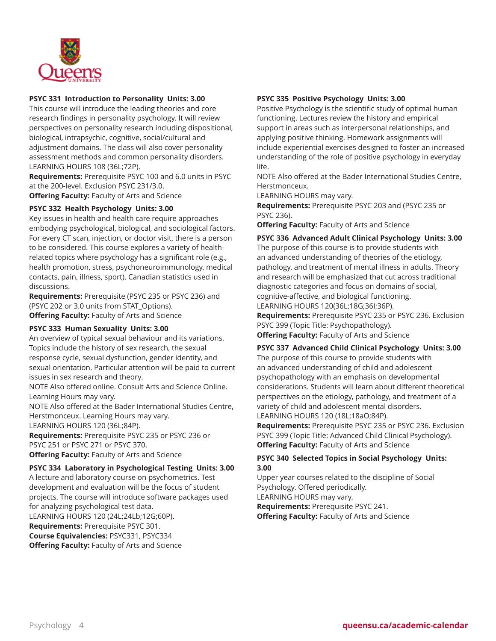

#### **PSYC 331 Introduction to Personality Units: 3.00**

This course will introduce the leading theories and core research findings in personality psychology. It will review perspectives on personality research including dispositional, biological, intrapsychic, cognitive, social/cultural and adjustment domains. The class will also cover personality assessment methods and common personality disorders. LEARNING HOURS 108 (36L;72P).

**Requirements:** Prerequisite PSYC 100 and 6.0 units in PSYC at the 200-level. Exclusion PSYC 231/3.0.

**Offering Faculty:** Faculty of Arts and Science

#### **PSYC 332 Health Psychology Units: 3.00**

Key issues in health and health care require approaches embodying psychological, biological, and sociological factors. For every CT scan, injection, or doctor visit, there is a person to be considered. This course explores a variety of healthrelated topics where psychology has a significant role (e.g., health promotion, stress, psychoneuroimmunology, medical contacts, pain, illness, sport). Canadian statistics used in discussions.

**Requirements:** Prerequisite (PSYC 235 or PSYC 236) and (PSYC 202 or 3.0 units from STAT\_Options). **Offering Faculty:** Faculty of Arts and Science

#### **PSYC 333 Human Sexuality Units: 3.00**

An overview of typical sexual behaviour and its variations. Topics include the history of sex research, the sexual response cycle, sexual dysfunction, gender identity, and sexual orientation. Particular attention will be paid to current issues in sex research and theory.

NOTE Also offered online. Consult Arts and Science Online. Learning Hours may vary.

NOTE Also offered at the Bader International Studies Centre, Herstmonceux. Learning Hours may vary.

LEARNING HOURS 120 (36L;84P).

**Requirements:** Prerequisite PSYC 235 or PSYC 236 or PSYC 251 or PSYC 271 or PSYC 370.

**Offering Faculty:** Faculty of Arts and Science

#### **PSYC 334 Laboratory in Psychological Testing Units: 3.00**

A lecture and laboratory course on psychometrics. Test development and evaluation will be the focus of student projects. The course will introduce software packages used for analyzing psychological test data. LEARNING HOURS 120 (24L;24Lb;12G;60P). **Requirements:** Prerequisite PSYC 301. **Course Equivalencies:** PSYC331, PSYC334 **Offering Faculty:** Faculty of Arts and Science

# **PSYC 335 Positive Psychology Units: 3.00**

Positive Psychology is the scientific study of optimal human functioning. Lectures review the history and empirical support in areas such as interpersonal relationships, and applying positive thinking. Homework assignments will include experiential exercises designed to foster an increased understanding of the role of positive psychology in everyday life.

NOTE Also offered at the Bader International Studies Centre, Herstmonceux.

LEARNING HOURS may vary.

**Requirements:** Prerequisite PSYC 203 and (PSYC 235 or PSYC 236).

**Offering Faculty:** Faculty of Arts and Science

**PSYC 336 Advanced Adult Clinical Psychology Units: 3.00** The purpose of this course is to provide students with an advanced understanding of theories of the etiology, pathology, and treatment of mental illness in adults. Theory and research will be emphasized that cut across traditional diagnostic categories and focus on domains of social, cognitive-affective, and biological functioning. LEARNING HOURS 120(36L;18G;36I;36P).

**Requirements:** Prerequisite PSYC 235 or PSYC 236. Exclusion PSYC 399 (Topic Title: Psychopathology).

**Offering Faculty:** Faculty of Arts and Science

# **PSYC 337 Advanced Child Clinical Psychology Units: 3.00**

The purpose of this course to provide students with an advanced understanding of child and adolescent psychopathology with an emphasis on developmental considerations. Students will learn about different theoretical perspectives on the etiology, pathology, and treatment of a variety of child and adolescent mental disorders. LEARNING HOURS 120 (18L;18aO;84P).

**Requirements:** Prerequisite PSYC 235 or PSYC 236. Exclusion PSYC 399 (Topic Title: Advanced Child Clinical Psychology). **Offering Faculty:** Faculty of Arts and Science

# **PSYC 340 Selected Topics in Social Psychology Units: 3.00**

Upper year courses related to the discipline of Social Psychology. Offered periodically. LEARNING HOURS may vary.

**Requirements:** Prerequisite PSYC 241. **Offering Faculty:** Faculty of Arts and Science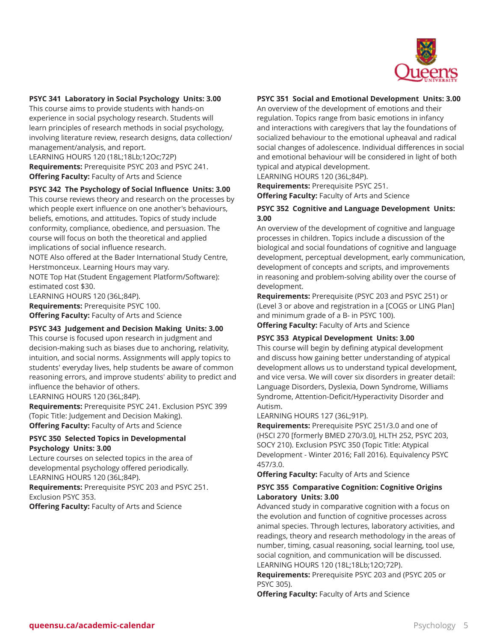

# **PSYC 341 Laboratory in Social Psychology Units: 3.00**

This course aims to provide students with hands-on experience in social psychology research. Students will learn principles of research methods in social psychology, involving literature review, research designs, data collection/ management/analysis, and report.

LEARNING HOURS 120 (18L;18Lb;12Oc;72P) **Requirements:** Prerequisite PSYC 203 and PSYC 241. **Offering Faculty:** Faculty of Arts and Science

#### **PSYC 342 The Psychology of Social Influence Units: 3.00**

This course reviews theory and research on the processes by which people exert influence on one another's behaviours, beliefs, emotions, and attitudes. Topics of study include conformity, compliance, obedience, and persuasion. The course will focus on both the theoretical and applied implications of social influence research.

NOTE Also offered at the Bader International Study Centre, Herstmonceux. Learning Hours may vary.

NOTE Top Hat (Student Engagement Platform/Software): estimated cost \$30.

LEARNING HOURS 120 (36L;84P).

**Requirements:** Prerequisite PSYC 100. **Offering Faculty:** Faculty of Arts and Science

#### **PSYC 343 Judgement and Decision Making Units: 3.00**

This course is focused upon research in judgment and decision-making such as biases due to anchoring, relativity, intuition, and social norms. Assignments will apply topics to students' everyday lives, help students be aware of common reasoning errors, and improve students' ability to predict and influence the behavior of others.

LEARNING HOURS 120 (36L;84P).

**Requirements:** Prerequisite PSYC 241. Exclusion PSYC 399 (Topic Title: Judgement and Decision Making). **Offering Faculty:** Faculty of Arts and Science

# **PSYC 350 Selected Topics in Developmental Psychology Units: 3.00**

Lecture courses on selected topics in the area of developmental psychology offered periodically. LEARNING HOURS 120 (36L;84P).

**Requirements:** Prerequisite PSYC 203 and PSYC 251. Exclusion PSYC 353.

**Offering Faculty:** Faculty of Arts and Science

### **PSYC 351 Social and Emotional Development Units: 3.00**

An overview of the development of emotions and their regulation. Topics range from basic emotions in infancy and interactions with caregivers that lay the foundations of socialized behaviour to the emotional upheaval and radical social changes of adolescence. Individual differences in social and emotional behaviour will be considered in light of both typical and atypical development.

LEARNING HOURS 120 (36L;84P). **Requirements:** Prerequisite PSYC 251. **Offering Faculty:** Faculty of Arts and Science

# **PSYC 352 Cognitive and Language Development Units: 3.00**

An overview of the development of cognitive and language processes in children. Topics include a discussion of the biological and social foundations of cognitive and language development, perceptual development, early communication, development of concepts and scripts, and improvements in reasoning and problem-solving ability over the course of development.

**Requirements:** Prerequisite (PSYC 203 and PSYC 251) or (Level 3 or above and registration in a [COGS or LING Plan] and minimum grade of a B- in PSYC 100).

**Offering Faculty:** Faculty of Arts and Science

# **PSYC 353 Atypical Development Units: 3.00**

This course will begin by defining atypical development and discuss how gaining better understanding of atypical development allows us to understand typical development, and vice versa. We will cover six disorders in greater detail: Language Disorders, Dyslexia, Down Syndrome, Williams Syndrome, Attention-Deficit/Hyperactivity Disorder and Autism.

LEARNING HOURS 127 (36L;91P).

**Requirements:** Prerequisite PSYC 251/3.0 and one of (HSCI 270 [formerly BMED 270/3.0], HLTH 252, PSYC 203, SOCY 210). Exclusion PSYC 350 (Topic Title: Atypical Development - Winter 2016; Fall 2016). Equivalency PSYC 457/3.0.

**Offering Faculty:** Faculty of Arts and Science

#### **PSYC 355 Comparative Cognition: Cognitive Origins Laboratory Units: 3.00**

Advanced study in comparative cognition with a focus on the evolution and function of cognitive processes across animal species. Through lectures, laboratory activities, and readings, theory and research methodology in the areas of number, timing, casual reasoning, social learning, tool use, social cognition, and communication will be discussed. LEARNING HOURS 120 (18L;18Lb;12O;72P).

**Requirements:** Prerequisite PSYC 203 and (PSYC 205 or PSYC 305).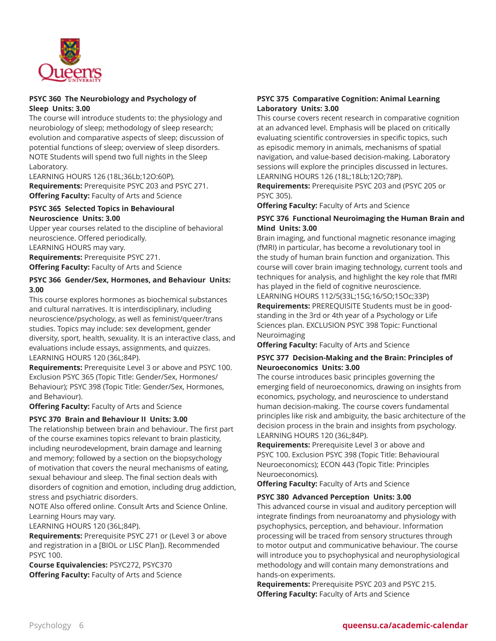

# **PSYC 360 The Neurobiology and Psychology of Sleep Units: 3.00**

The course will introduce students to: the physiology and neurobiology of sleep; methodology of sleep research; evolution and comparative aspects of sleep; discussion of potential functions of sleep; overview of sleep disorders. NOTE Students will spend two full nights in the Sleep Laboratory.

LEARNING HOURS 126 (18L;36Lb;12O:60P). **Requirements:** Prerequisite PSYC 203 and PSYC 271. **Offering Faculty:** Faculty of Arts and Science

#### **PSYC 365 Selected Topics in Behavioural Neuroscience Units: 3.00**

Upper year courses related to the discipline of behavioral neuroscience. Offered periodically. LEARNING HOURS may vary. **Requirements:** Prerequisite PSYC 271. **Offering Faculty:** Faculty of Arts and Science

# **PSYC 366 Gender/Sex, Hormones, and Behaviour Units: 3.00**

This course explores hormones as biochemical substances and cultural narratives. It is interdisciplinary, including neuroscience/psychology, as well as feminist/queer/trans studies. Topics may include: sex development, gender diversity, sport, health, sexuality. It is an interactive class, and evaluations include essays, assignments, and quizzes. LEARNING HOURS 120 (36L;84P).

**Requirements:** Prerequisite Level 3 or above and PSYC 100. Exclusion PSYC 365 (Topic Title: Gender/Sex, Hormones/ Behaviour); PSYC 398 (Topic Title: Gender/Sex, Hormones, and Behaviour).

**Offering Faculty:** Faculty of Arts and Science

# **PSYC 370 Brain and Behaviour II Units: 3.00**

The relationship between brain and behaviour. The first part of the course examines topics relevant to brain plasticity, including neurodevelopment, brain damage and learning and memory; followed by a section on the biopsychology of motivation that covers the neural mechanisms of eating, sexual behaviour and sleep. The final section deals with disorders of cognition and emotion, including drug addiction, stress and psychiatric disorders.

NOTE Also offered online. Consult Arts and Science Online. Learning Hours may vary.

LEARNING HOURS 120 (36L;84P).

**Requirements:** Prerequisite PSYC 271 or (Level 3 or above and registration in a [BIOL or LISC Plan]). Recommended PSYC 100.

**Course Equivalencies:** PSYC272, PSYC370 **Offering Faculty:** Faculty of Arts and Science

# **PSYC 375 Comparative Cognition: Animal Learning Laboratory Units: 3.00**

This course covers recent research in comparative cognition at an advanced level. Emphasis will be placed on critically evaluating scientific controversies in specific topics, such as episodic memory in animals, mechanisms of spatial navigation, and value-based decision-making. Laboratory sessions will explore the principles discussed in lectures. LEARNING HOURS 126 (18L;18Lb;12O;78P).

**Requirements:** Prerequisite PSYC 203 and (PSYC 205 or PSYC 305).

**Offering Faculty:** Faculty of Arts and Science

# **PSYC 376 Functional Neuroimaging the Human Brain and Mind Units: 3.00**

Brain imaging, and functional magnetic resonance imaging (fMRI) in particular, has become a revolutionary tool in the study of human brain function and organization. This course will cover brain imaging technology, current tools and techniques for analysis, and highlight the key role that fMRI has played in the field of cognitive neuroscience. LEARNING HOURS 112/5(33L;15G;16/5O;15Oc;33P) **Requirements:** PREREQUISITE Students must be in goodstanding in the 3rd or 4th year of a Psychology or Life Sciences plan. EXCLUSION PSYC 398 Topic: Functional Neuroimaging

**Offering Faculty:** Faculty of Arts and Science

# **PSYC 377 Decision-Making and the Brain: Principles of Neuroeconomics Units: 3.00**

The course introduces basic principles governing the emerging field of neuroeconomics, drawing on insights from economics, psychology, and neuroscience to understand human decision-making. The course covers fundamental principles like risk and ambiguity, the basic architecture of the decision process in the brain and insights from psychology. LEARNING HOURS 120 (36L;84P).

**Requirements:** Prerequisite Level 3 or above and PSYC 100. Exclusion PSYC 398 (Topic Title: Behavioural Neuroeconomics); ECON 443 (Topic Title: Principles Neuroeconomics).

**Offering Faculty:** Faculty of Arts and Science

#### **PSYC 380 Advanced Perception Units: 3.00**

This advanced course in visual and auditory perception will integrate findings from neuroanatomy and physiology with psychophysics, perception, and behaviour. Information processing will be traced from sensory structures through to motor output and communicative behaviour. The course will introduce you to psychophysical and neurophysiological methodology and will contain many demonstrations and hands-on experiments.

**Requirements:** Prerequisite PSYC 203 and PSYC 215. **Offering Faculty:** Faculty of Arts and Science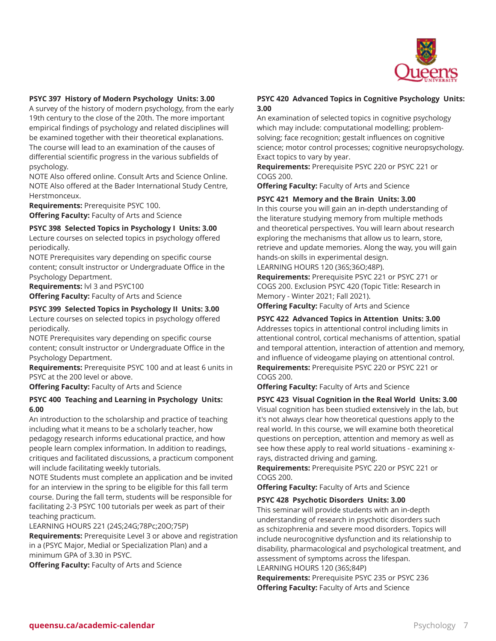

#### **PSYC 397 History of Modern Psychology Units: 3.00**

A survey of the history of modern psychology, from the early 19th century to the close of the 20th. The more important empirical findings of psychology and related disciplines will be examined together with their theoretical explanations. The course will lead to an examination of the causes of differential scientific progress in the various subfields of psychology.

NOTE Also offered online. Consult Arts and Science Online. NOTE Also offered at the Bader International Study Centre, Herstmonceux.

**Requirements:** Prerequisite PSYC 100. **Offering Faculty:** Faculty of Arts and Science

**PSYC 398 Selected Topics in Psychology I Units: 3.00** Lecture courses on selected topics in psychology offered periodically.

NOTE Prerequisites vary depending on specific course content; consult instructor or Undergraduate Office in the Psychology Department.

**Requirements:** lvl 3 and PSYC100

**Offering Faculty:** Faculty of Arts and Science

#### **PSYC 399 Selected Topics in Psychology II Units: 3.00**

Lecture courses on selected topics in psychology offered periodically.

NOTE Prerequisites vary depending on specific course content; consult instructor or Undergraduate Office in the Psychology Department.

**Requirements:** Prerequisite PSYC 100 and at least 6 units in PSYC at the 200 level or above.

**Offering Faculty:** Faculty of Arts and Science

#### **PSYC 400 Teaching and Learning in Psychology Units: 6.00**

An introduction to the scholarship and practice of teaching including what it means to be a scholarly teacher, how pedagogy research informs educational practice, and how people learn complex information. In addition to readings, critiques and facilitated discussions, a practicum component will include facilitating weekly tutorials.

NOTE Students must complete an application and be invited for an interview in the spring to be eligible for this fall term course. During the fall term, students will be responsible for facilitating 2-3 PSYC 100 tutorials per week as part of their teaching practicum.

LEARNING HOURS 221 (24S;24G;78Pc;20O;75P)

**Requirements:** Prerequisite Level 3 or above and registration in a (PSYC Major, Medial or Specialization Plan) and a minimum GPA of 3.30 in PSYC.

**Offering Faculty:** Faculty of Arts and Science

# **PSYC 420 Advanced Topics in Cognitive Psychology Units: 3.00**

An examination of selected topics in cognitive psychology which may include: computational modelling; problemsolving; face recognition; gestalt influences on cognitive science; motor control processes; cognitive neuropsychology. Exact topics to vary by year.

**Requirements:** Prerequisite PSYC 220 or PSYC 221 or COGS 200.

**Offering Faculty:** Faculty of Arts and Science

# **PSYC 421 Memory and the Brain Units: 3.00**

In this course you will gain an in-depth understanding of the literature studying memory from multiple methods and theoretical perspectives. You will learn about research exploring the mechanisms that allow us to learn, store, retrieve and update memories. Along the way, you will gain hands-on skills in experimental design.

#### LEARNING HOURS 120 (36S;36O;48P).

**Requirements:** Prerequisite PSYC 221 or PSYC 271 or COGS 200. Exclusion PSYC 420 (Topic Title: Research in Memory - Winter 2021; Fall 2021).

**Offering Faculty:** Faculty of Arts and Science

# **PSYC 422 Advanced Topics in Attention Units: 3.00**

Addresses topics in attentional control including limits in attentional control, cortical mechanisms of attention, spatial and temporal attention, interaction of attention and memory, and influence of videogame playing on attentional control. **Requirements:** Prerequisite PSYC 220 or PSYC 221 or COGS 200.

**Offering Faculty:** Faculty of Arts and Science

**PSYC 423 Visual Cognition in the Real World Units: 3.00** Visual cognition has been studied extensively in the lab, but it's not always clear how theoretical questions apply to the real world. In this course, we will examine both theoretical questions on perception, attention and memory as well as see how these apply to real world situations - examining xrays, distracted driving and gaming.

**Requirements:** Prerequisite PSYC 220 or PSYC 221 or COGS 200.

**Offering Faculty:** Faculty of Arts and Science

#### **PSYC 428 Psychotic Disorders Units: 3.00**

This seminar will provide students with an in-depth understanding of research in psychotic disorders such as schizophrenia and severe mood disorders. Topics will include neurocognitive dysfunction and its relationship to disability, pharmacological and psychological treatment, and assessment of symptoms across the lifespan.

LEARNING HOURS 120 (36S;84P)

**Requirements:** Prerequisite PSYC 235 or PSYC 236 **Offering Faculty:** Faculty of Arts and Science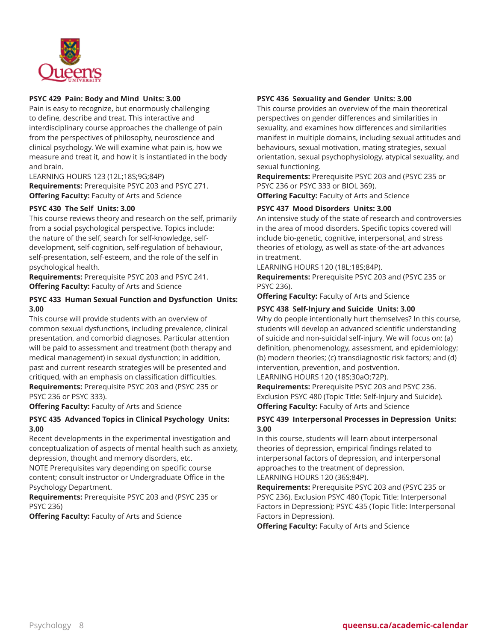

# **PSYC 429 Pain: Body and Mind Units: 3.00**

Pain is easy to recognize, but enormously challenging to define, describe and treat. This interactive and interdisciplinary course approaches the challenge of pain from the perspectives of philosophy, neuroscience and clinical psychology. We will examine what pain is, how we measure and treat it, and how it is instantiated in the body and brain.

LEARNING HOURS 123 (12L;18S;9G;84P) **Requirements:** Prerequisite PSYC 203 and PSYC 271. **Offering Faculty:** Faculty of Arts and Science

# **PSYC 430 The Self Units: 3.00**

This course reviews theory and research on the self, primarily from a social psychological perspective. Topics include: the nature of the self, search for self-knowledge, selfdevelopment, self-cognition, self-regulation of behaviour, self-presentation, self-esteem, and the role of the self in psychological health.

**Requirements:** Prerequisite PSYC 203 and PSYC 241. **Offering Faculty:** Faculty of Arts and Science

#### **PSYC 433 Human Sexual Function and Dysfunction Units: 3.00**

This course will provide students with an overview of common sexual dysfunctions, including prevalence, clinical presentation, and comorbid diagnoses. Particular attention will be paid to assessment and treatment (both therapy and medical management) in sexual dysfunction; in addition, past and current research strategies will be presented and critiqued, with an emphasis on classification difficulties. **Requirements:** Prerequisite PSYC 203 and (PSYC 235 or PSYC 236 or PSYC 333).

**Offering Faculty:** Faculty of Arts and Science

# **PSYC 435 Advanced Topics in Clinical Psychology Units: 3.00**

Recent developments in the experimental investigation and conceptualization of aspects of mental health such as anxiety, depression, thought and memory disorders, etc.

NOTE Prerequisites vary depending on specific course content; consult instructor or Undergraduate Office in the Psychology Department.

**Requirements:** Prerequisite PSYC 203 and (PSYC 235 or PSYC 236)

**Offering Faculty:** Faculty of Arts and Science

# **PSYC 436 Sexuality and Gender Units: 3.00**

This course provides an overview of the main theoretical perspectives on gender differences and similarities in sexuality, and examines how differences and similarities manifest in multiple domains, including sexual attitudes and behaviours, sexual motivation, mating strategies, sexual orientation, sexual psychophysiology, atypical sexuality, and sexual functioning.

**Requirements:** Prerequisite PSYC 203 and (PSYC 235 or PSYC 236 or PSYC 333 or BIOL 369).

**Offering Faculty:** Faculty of Arts and Science

# **PSYC 437 Mood Disorders Units: 3.00**

An intensive study of the state of research and controversies in the area of mood disorders. Specific topics covered will include bio-genetic, cognitive, interpersonal, and stress theories of etiology, as well as state-of-the-art advances in treatment.

LEARNING HOURS 120 (18L;18S;84P).

**Requirements:** Prerequisite PSYC 203 and (PSYC 235 or PSYC 236).

**Offering Faculty:** Faculty of Arts and Science

# **PSYC 438 Self-Injury and Suicide Units: 3.00**

Why do people intentionally hurt themselves? In this course, students will develop an advanced scientific understanding of suicide and non-suicidal self-injury. We will focus on: (a) definition, phenomenology, assessment, and epidemiology; (b) modern theories; (c) transdiagnostic risk factors; and (d) intervention, prevention, and postvention.

LEARNING HOURS 120 (18S;30aO;72P).

**Requirements:** Prerequisite PSYC 203 and PSYC 236. Exclusion PSYC 480 (Topic Title: Self-Injury and Suicide). **Offering Faculty:** Faculty of Arts and Science

# **PSYC 439 Interpersonal Processes in Depression Units: 3.00**

In this course, students will learn about interpersonal theories of depression, empirical findings related to interpersonal factors of depression, and interpersonal approaches to the treatment of depression. LEARNING HOURS 120 (36S;84P).

**Requirements:** Prerequisite PSYC 203 and (PSYC 235 or PSYC 236). Exclusion PSYC 480 (Topic Title: Interpersonal Factors in Depression); PSYC 435 (Topic Title: Interpersonal Factors in Depression).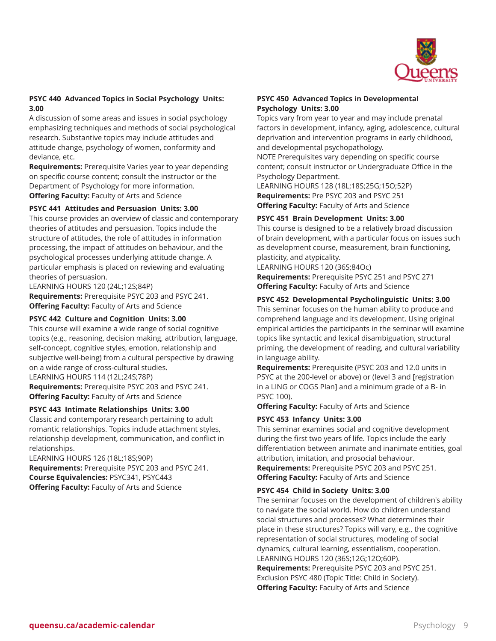

# **PSYC 440 Advanced Topics in Social Psychology Units: 3.00**

A discussion of some areas and issues in social psychology emphasizing techniques and methods of social psychological research. Substantive topics may include attitudes and attitude change, psychology of women, conformity and deviance, etc.

**Requirements:** Prerequisite Varies year to year depending on specific course content; consult the instructor or the Department of Psychology for more information. **Offering Faculty:** Faculty of Arts and Science

# **PSYC 441 Attitudes and Persuasion Units: 3.00**

This course provides an overview of classic and contemporary theories of attitudes and persuasion. Topics include the structure of attitudes, the role of attitudes in information processing, the impact of attitudes on behaviour, and the psychological processes underlying attitude change. A particular emphasis is placed on reviewing and evaluating theories of persuasion.

LEARNING HOURS 120 (24L;12S;84P) **Requirements:** Prerequisite PSYC 203 and PSYC 241. **Offering Faculty:** Faculty of Arts and Science

#### **PSYC 442 Culture and Cognition Units: 3.00**

This course will examine a wide range of social cognitive topics (e.g., reasoning, decision making, attribution, language, self-concept, cognitive styles, emotion, relationship and subjective well-being) from a cultural perspective by drawing on a wide range of cross-cultural studies. LEARNING HOURS 114 (12L;24S;78P)

**Requirements:** Prerequisite PSYC 203 and PSYC 241. **Offering Faculty:** Faculty of Arts and Science

#### **PSYC 443 Intimate Relationships Units: 3.00**

Classic and contemporary research pertaining to adult romantic relationships. Topics include attachment styles, relationship development, communication, and conflict in relationships.

LEARNING HOURS 126 (18L;18S;90P) **Requirements:** Prerequisite PSYC 203 and PSYC 241. **Course Equivalencies:** PSYC341, PSYC443 **Offering Faculty:** Faculty of Arts and Science

#### **PSYC 450 Advanced Topics in Developmental Psychology Units: 3.00**

Topics vary from year to year and may include prenatal factors in development, infancy, aging, adolescence, cultural deprivation and intervention programs in early childhood, and developmental psychopathology.

NOTE Prerequisites vary depending on specific course content; consult instructor or Undergraduate Office in the Psychology Department.

LEARNING HOURS 128 (18L;18S;25G;15O;52P) **Requirements:** Pre PSYC 203 and PSYC 251 **Offering Faculty:** Faculty of Arts and Science

#### **PSYC 451 Brain Development Units: 3.00**

This course is designed to be a relatively broad discussion of brain development, with a particular focus on issues such as development course, measurement, brain functioning, plasticity, and atypicality.

LEARNING HOURS 120 (36S;84Oc) **Requirements:** Prerequisite PSYC 251 and PSYC 271 **Offering Faculty:** Faculty of Arts and Science

#### **PSYC 452 Developmental Psycholinguistic Units: 3.00**

This seminar focuses on the human ability to produce and comprehend language and its development. Using original empirical articles the participants in the seminar will examine topics like syntactic and lexical disambiguation, structural priming, the development of reading, and cultural variability in language ability.

**Requirements:** Prerequisite (PSYC 203 and 12.0 units in PSYC at the 200-level or above) or (level 3 and [registration in a LING or COGS Plan] and a minimum grade of a B- in PSYC 100).

**Offering Faculty:** Faculty of Arts and Science

#### **PSYC 453 Infancy Units: 3.00**

This seminar examines social and cognitive development during the first two years of life. Topics include the early differentiation between animate and inanimate entities, goal attribution, imitation, and prosocial behaviour. **Requirements:** Prerequisite PSYC 203 and PSYC 251. **Offering Faculty:** Faculty of Arts and Science

#### **PSYC 454 Child in Society Units: 3.00**

The seminar focuses on the development of children's ability to navigate the social world. How do children understand social structures and processes? What determines their place in these structures? Topics will vary, e.g., the cognitive representation of social structures, modeling of social dynamics, cultural learning, essentialism, cooperation. LEARNING HOURS 120 (36S;12G;12O;60P). **Requirements:** Prerequisite PSYC 203 and PSYC 251. Exclusion PSYC 480 (Topic Title: Child in Society). **Offering Faculty:** Faculty of Arts and Science

**queensu.ca/academic-calendar** Psychology 9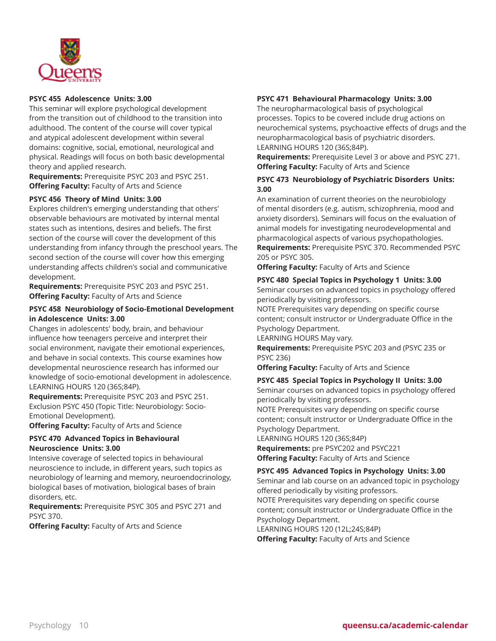

# **PSYC 455 Adolescence Units: 3.00**

This seminar will explore psychological development from the transition out of childhood to the transition into adulthood. The content of the course will cover typical and atypical adolescent development within several domains: cognitive, social, emotional, neurological and physical. Readings will focus on both basic developmental theory and applied research.

**Requirements:** Prerequisite PSYC 203 and PSYC 251. **Offering Faculty:** Faculty of Arts and Science

#### **PSYC 456 Theory of Mind Units: 3.00**

Explores children's emerging understanding that others' observable behaviours are motivated by internal mental states such as intentions, desires and beliefs. The first section of the course will cover the development of this understanding from infancy through the preschool years. The second section of the course will cover how this emerging understanding affects children's social and communicative development.

**Requirements:** Prerequisite PSYC 203 and PSYC 251. **Offering Faculty:** Faculty of Arts and Science

# **PSYC 458 Neurobiology of Socio-Emotional Development in Adolescence Units: 3.00**

Changes in adolescents' body, brain, and behaviour influence how teenagers perceive and interpret their social environment, navigate their emotional experiences, and behave in social contexts. This course examines how developmental neuroscience research has informed our knowledge of socio-emotional development in adolescence. LEARNING HOURS 120 (36S;84P).

**Requirements:** Prerequisite PSYC 203 and PSYC 251. Exclusion PSYC 450 (Topic Title: Neurobiology: Socio-Emotional Development).

**Offering Faculty:** Faculty of Arts and Science

# **PSYC 470 Advanced Topics in Behavioural Neuroscience Units: 3.00**

Intensive coverage of selected topics in behavioural neuroscience to include, in different years, such topics as neurobiology of learning and memory, neuroendocrinology, biological bases of motivation, biological bases of brain disorders, etc.

**Requirements:** Prerequisite PSYC 305 and PSYC 271 and PSYC 370.

**Offering Faculty:** Faculty of Arts and Science

#### **PSYC 471 Behavioural Pharmacology Units: 3.00**

The neuropharmacological basis of psychological processes. Topics to be covered include drug actions on neurochemical systems, psychoactive effects of drugs and the neuropharmacological basis of psychiatric disorders. LEARNING HOURS 120 (36S;84P).

**Requirements:** Prerequisite Level 3 or above and PSYC 271. **Offering Faculty:** Faculty of Arts and Science

#### **PSYC 473 Neurobiology of Psychiatric Disorders Units: 3.00**

An examination of current theories on the neurobiology of mental disorders (e.g. autism, schizophrenia, mood and anxiety disorders). Seminars will focus on the evaluation of animal models for investigating neurodevelopmental and pharmacological aspects of various psychopathologies. **Requirements:** Prerequisite PSYC 370. Recommended PSYC 205 or PSYC 305.

**Offering Faculty:** Faculty of Arts and Science

#### **PSYC 480 Special Topics in Psychology 1 Units: 3.00**

Seminar courses on advanced topics in psychology offered periodically by visiting professors.

NOTE Prerequisites vary depending on specific course content; consult instructor or Undergraduate Office in the Psychology Department.

LEARNING HOURS May vary.

**Requirements:** Prerequisite PSYC 203 and (PSYC 235 or PSYC 236)

**Offering Faculty:** Faculty of Arts and Science

#### **PSYC 485 Special Topics in Psychology II Units: 3.00**

Seminar courses on advanced topics in psychology offered periodically by visiting professors.

NOTE Prerequisites vary depending on specific course content; consult instructor or Undergraduate Office in the Psychology Department.

LEARNING HOURS 120 (36S;84P)

**Requirements:** pre PSYC202 and PSYC221 **Offering Faculty:** Faculty of Arts and Science

# **PSYC 495 Advanced Topics in Psychology Units: 3.00**

Seminar and lab course on an advanced topic in psychology offered periodically by visiting professors. NOTE Prerequisites vary depending on specific course content; consult instructor or Undergraduate Office in the Psychology Department. LEARNING HOURS 120 (12L;24S;84P)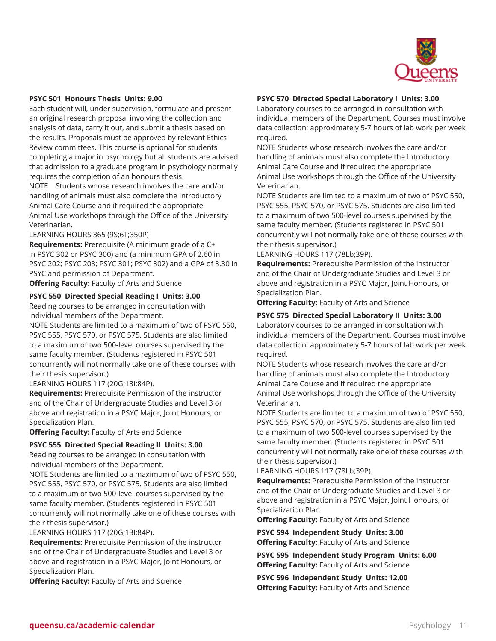

#### **PSYC 501 Honours Thesis Units: 9.00**

Each student will, under supervision, formulate and present an original research proposal involving the collection and analysis of data, carry it out, and submit a thesis based on the results. Proposals must be approved by relevant Ethics Review committees. This course is optional for students completing a major in psychology but all students are advised that admission to a graduate program in psychology normally requires the completion of an honours thesis.

NOTE Students whose research involves the care and/or handling of animals must also complete the Introductory Animal Care Course and if required the appropriate Animal Use workshops through the Office of the University Veterinarian.

LEARNING HOURS 365 (9S;6T;350P)

**Requirements:** Prerequisite (A minimum grade of a C+ in PSYC 302 or PSYC 300) and (a minimum GPA of 2.60 in PSYC 202; PSYC 203; PSYC 301; PSYC 302) and a GPA of 3.30 in PSYC and permission of Department.

**Offering Faculty:** Faculty of Arts and Science

#### **PSYC 550 Directed Special Reading I Units: 3.00**

Reading courses to be arranged in consultation with individual members of the Department.

NOTE Students are limited to a maximum of two of PSYC 550, PSYC 555, PSYC 570, or PSYC 575. Students are also limited to a maximum of two 500-level courses supervised by the same faculty member. (Students registered in PSYC 501 concurrently will not normally take one of these courses with their thesis supervisor.)

LEARNING HOURS 117 (20G;13I;84P).

**Requirements:** Prerequisite Permission of the instructor and of the Chair of Undergraduate Studies and Level 3 or above and registration in a PSYC Major, Joint Honours, or Specialization Plan.

**Offering Faculty:** Faculty of Arts and Science

#### **PSYC 555 Directed Special Reading II Units: 3.00**

Reading courses to be arranged in consultation with individual members of the Department.

NOTE Students are limited to a maximum of two of PSYC 550, PSYC 555, PSYC 570, or PSYC 575. Students are also limited to a maximum of two 500-level courses supervised by the same faculty member. (Students registered in PSYC 501 concurrently will not normally take one of these courses with their thesis supervisor.)

LEARNING HOURS 117 (20G;13I;84P).

**Requirements:** Prerequisite Permission of the instructor and of the Chair of Undergraduate Studies and Level 3 or above and registration in a PSYC Major, Joint Honours, or Specialization Plan.

**Offering Faculty:** Faculty of Arts and Science

#### **PSYC 570 Directed Special Laboratory I Units: 3.00**

Laboratory courses to be arranged in consultation with individual members of the Department. Courses must involve data collection; approximately 5-7 hours of lab work per week required.

NOTE Students whose research involves the care and/or handling of animals must also complete the Introductory Animal Care Course and if required the appropriate Animal Use workshops through the Office of the University Veterinarian.

NOTE Students are limited to a maximum of two of PSYC 550, PSYC 555, PSYC 570, or PSYC 575. Students are also limited to a maximum of two 500-level courses supervised by the same faculty member. (Students registered in PSYC 501 concurrently will not normally take one of these courses with their thesis supervisor.)

LEARNING HOURS 117 (78Lb;39P).

**Requirements:** Prerequisite Permission of the instructor and of the Chair of Undergraduate Studies and Level 3 or above and registration in a PSYC Major, Joint Honours, or Specialization Plan.

**Offering Faculty:** Faculty of Arts and Science

#### **PSYC 575 Directed Special Laboratory II Units: 3.00**

Laboratory courses to be arranged in consultation with individual members of the Department. Courses must involve data collection; approximately 5-7 hours of lab work per week required.

NOTE Students whose research involves the care and/or handling of animals must also complete the Introductory Animal Care Course and if required the appropriate Animal Use workshops through the Office of the University Veterinarian.

NOTE Students are limited to a maximum of two of PSYC 550, PSYC 555, PSYC 570, or PSYC 575. Students are also limited to a maximum of two 500-level courses supervised by the same faculty member. (Students registered in PSYC 501 concurrently will not normally take one of these courses with their thesis supervisor.)

LEARNING HOURS 117 (78Lb;39P).

**Requirements:** Prerequisite Permission of the instructor and of the Chair of Undergraduate Studies and Level 3 or above and registration in a PSYC Major, Joint Honours, or Specialization Plan.

**Offering Faculty:** Faculty of Arts and Science

**PSYC 594 Independent Study Units: 3.00 Offering Faculty:** Faculty of Arts and Science

**PSYC 595 Independent Study Program Units: 6.00 Offering Faculty:** Faculty of Arts and Science

**PSYC 596 Independent Study Units: 12.00 Offering Faculty:** Faculty of Arts and Science